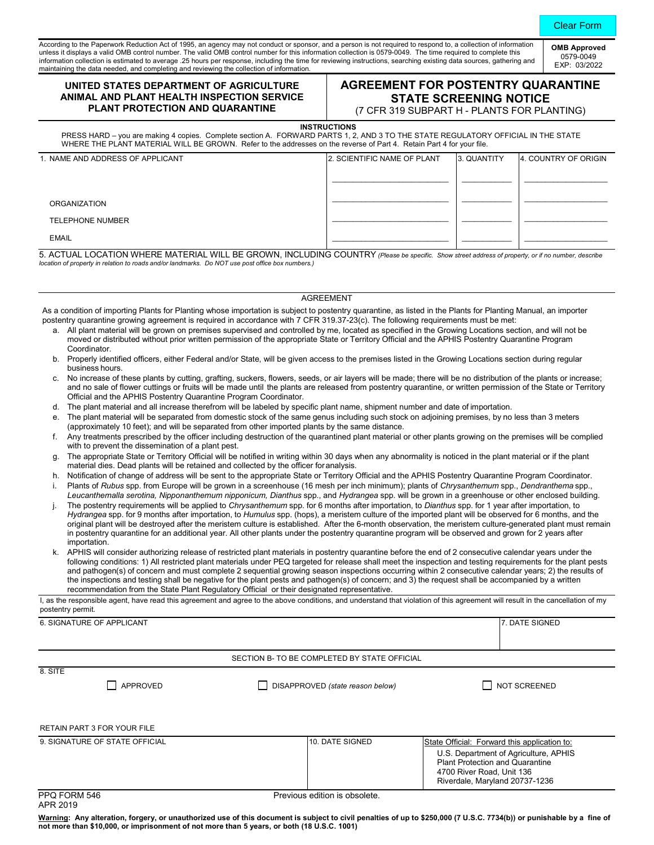According to the Paperwork Reduction Act of 1995, an agency may not conduct or sponsor, and a person is not required to respond to, a collection of information unless it displays a valid OMB control number. The valid OMB control number for this information collection is 0579-0049. The time required to complete this information collection is estimated to average .25 hours per response, including the time for reviewing instructions, searching existing data sources, gathering and maintaining the data needed, and completing and reviewing the collection of information. **OMB Approved**

### **UNITED STATES DEPARTMENT OF AGRICULTURE ANIMAL AND PLANT HEALTH INSPECTION SERVICE PLANT PROTECTION AND QUARANTINE**

# **AGREEMENT FOR POSTENTRY QUARANTINE STATE SCREENING NOTICE**

(7 CFR 319 SUBPART H - PLANTS FOR PLANTING)

 **INSTRUCTIONS** PRESS HARD – you are making 4 copies. Complete section A. FORWARD PARTS 1, 2, AND 3 TO THE STATE REGULATORY OFFICIAL IN THE STATE WHERE THE PLANT MATERIAL WILL BE GROWN. Refer to the addresses on the reverse of Part 4. Retain Part 4 for your file.

| 1. NAME AND ADDRESS OF APPLICANT | 2. SCIENTIFIC NAME OF PLANT | 3. QUANTITY | 4. COUNTRY OF ORIGIN |
|----------------------------------|-----------------------------|-------------|----------------------|
|                                  |                             |             |                      |
| <b>ORGANIZATION</b>              |                             |             |                      |
| TELEPHONE NUMBER                 |                             |             |                      |
| <b>EMAIL</b>                     |                             |             |                      |

5. ACTUAL LOCATION WHERE MATERIAL WILL BE GROWN, INCLUDING COUNTRY *(Please be specific. Show street address of property, or if no number, describe location of property in relation to roads and/or landmarks. Do NOT use post office box numbers.)* 

#### AGREEMENT

As a condition of importing Plants for Planting whose importation is subject to postentry quarantine, as listed in the Plants for Planting Manual, an importer postentry quarantine growing agreement is required in accordance with 7 CFR 319.37-23(c). The following requirements must be met:

- a. All plant material will be grown on premises supervised and controlled by me, located as specified in the Growing Locations section, and will not be moved or distributed without prior written permission of the appropriate State or Territory Official and the APHIS Postentry Quarantine Program Coordinator.
- b. Properly identified officers, either Federal and/or State, will be given access to the premises listed in the Growing Locations section during regular business hours.
- c. No increase of these plants by cutting, grafting, suckers, flowers, seeds, or air layers will be made; there will be no distribution of the plants or increase; and no sale of flower cuttings or fruits will be made until the plants are released from postentry quarantine, or written permission of the State or Territory Official and the APHIS Postentry Quarantine Program Coordinator.
- d. The plant material and all increase therefrom will be labeled by specific plant name, shipment number and date of importation.
- e. The plant material will be separated from domestic stock of the same genus including such stock on adjoining premises, by no less than 3 meters (approximately 10 feet); and will be separated from other imported plants by the same distance.
- Any treatments prescribed by the officer including destruction of the quarantined plant material or other plants growing on the premises will be complied with to prevent the dissemination of a plant pest.
- g. The appropriate State or Territory Official will be notified in writing within 30 days when any abnormality is noticed in the plant material or if the plant material dies. Dead plants will be retained and collected by the officer foranalysis.
- h. Notification of change of address will be sent to the appropriate State or Territory Official and the APHIS Postentry Quarantine Program Coordinator.
- i. Plants of *Rubus* spp. from Europe will be grown in a screenhouse (16 mesh per inch minimum); plants of *Chrysanthemum* spp., *Dendranthema* spp., Leucanthemalla serotina, Nipponanthemum nipponicum, Dianthus spp., and Hydrangea spp. will be grown in a greenhouse or other enclosed building.
- j. The postentry requirements will be applied to *Chrysanthemum* spp. for 6 months after importation, to *Dianthus* spp. for 1 year after importation, to *Hydrangea* spp. for 9 months after importation, to *Humulus* spp. (hops), a meristem culture of the imported plant will be observed for 6 months, and the original plant will be destroyed after the meristem culture is established. After the 6-month observation, the meristem culture-generated plant must remain in postentry quarantine for an additional year. All other plants under the postentry quarantine program will be observed and grown for 2 years after importation.
- k. APHIS will consider authorizing release of restricted plant materials in postentry quarantine before the end of 2 consecutive calendar years under the following conditions: 1) All restricted plant materials under PEQ targeted for release shall meet the inspection and testing requirements for the plant pests and pathogen(s) of concern and must complete 2 sequential growing season inspections occurring within 2 consecutive calendar years; 2) the results of the inspections and testing shall be negative for the plant pests and pathogen(s) of concern; and 3) the request shall be accompanied by a written recommendation from the State Plant Regulatory Official or their designated representative.

I, as the responsible agent, have read this agreement and agree to the above conditions, and understand that violation of this agreement will result in the cancellation of my postentry permit.

6. SIGNATURE OF APPLICANT **7. DATE SIGNED** 

#### SECTION B- TO BE COMPLETED BY STATE OFFICIAL

8. SITE

APPROVED DISAPPROVED *(state reason below)* NOT SCREENED

| <b>RETAIN PART 3 FOR YOUR FILE</b> |
|------------------------------------|

| 9. SIGNATURE OF STATE OFFICIAL | 10. DATE SIGNED | State Official: Forward this application to:                                                                                                   |
|--------------------------------|-----------------|------------------------------------------------------------------------------------------------------------------------------------------------|
|                                |                 | U.S. Department of Agriculture, APHIS<br><b>Plant Protection and Quarantine</b><br>4700 River Road, Unit 136<br>Riverdale, Maryland 20737-1236 |

APR 2019

PPQ FORM 546 Previous edition is obsolete.

Warning: Any alteration, forgery, or unauthorized use of this document is subject to civil penalties of up to \$250,000 (7 U.S.C. 7734(b)) or punishable by a fine of **not more than \$10,000, or imprisonment of not more than 5 years, or both (18 U.S.C. 1001)**

0579-0049 EXP: 03/2022